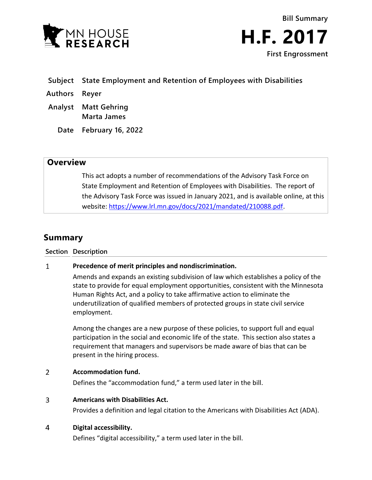



- **Subject State Employment and Retention of Employees with Disabilities**
- **Authors Reyer**
- **Analyst Matt Gehring Marta James**
	- **Date February 16, 2022**

# **Overview**

This act adopts a number of recommendations of the Advisory Task Force on State Employment and Retention of Employees with Disabilities. The report of the Advisory Task Force was issued in January 2021, and is available online, at this website: [https://www.lrl.mn.gov/docs/2021/mandated/210088.pdf.](https://www.lrl.mn.gov/docs/2021/mandated/210088.pdf)

# **Summary**

# **Section Description**

# $\mathbf{1}$ **Precedence of merit principles and nondiscrimination.**

Amends and expands an existing subdivision of law which establishes a policy of the state to provide for equal employment opportunities, consistent with the Minnesota Human Rights Act, and a policy to take affirmative action to eliminate the underutilization of qualified members of protected groups in state civil service employment.

Among the changes are a new purpose of these policies, to support full and equal participation in the social and economic life of the state. This section also states a requirement that managers and supervisors be made aware of bias that can be present in the hiring process.

# $\overline{2}$ **Accommodation fund.**

Defines the "accommodation fund," a term used later in the bill.

# $\overline{3}$ **Americans with Disabilities Act.**

Provides a definition and legal citation to the Americans with Disabilities Act (ADA).

# $\overline{4}$ **Digital accessibility.**

Defines "digital accessibility," a term used later in the bill.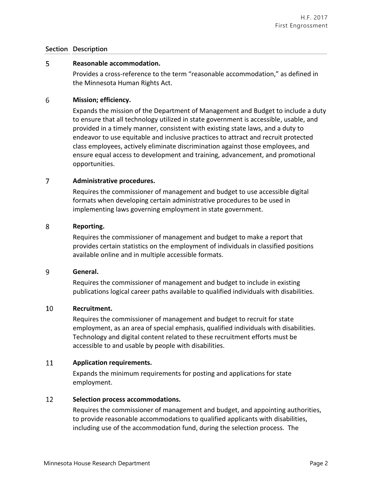# **Section Description**

#### 5 **Reasonable accommodation.**

Provides a cross-reference to the term "reasonable accommodation," as defined in the Minnesota Human Rights Act.

# 6 **Mission; efficiency.**

Expands the mission of the Department of Management and Budget to include a duty to ensure that all technology utilized in state government is accessible, usable, and provided in a timely manner, consistent with existing state laws, and a duty to endeavor to use equitable and inclusive practices to attract and recruit protected class employees, actively eliminate discrimination against those employees, and ensure equal access to development and training, advancement, and promotional opportunities.

# $\overline{7}$ **Administrative procedures.**

Requires the commissioner of management and budget to use accessible digital formats when developing certain administrative procedures to be used in implementing laws governing employment in state government.

#### 8 **Reporting.**

Requires the commissioner of management and budget to make a report that provides certain statistics on the employment of individuals in classified positions available online and in multiple accessible formats.

#### 9 **General.**

Requires the commissioner of management and budget to include in existing publications logical career paths available to qualified individuals with disabilities.

# 10 **Recruitment.**

Requires the commissioner of management and budget to recruit for state employment, as an area of special emphasis, qualified individuals with disabilities. Technology and digital content related to these recruitment efforts must be accessible to and usable by people with disabilities.

# 11 **Application requirements.**

Expands the minimum requirements for posting and applications for state employment.

#### 12 **Selection process accommodations.**

Requires the commissioner of management and budget, and appointing authorities, to provide reasonable accommodations to qualified applicants with disabilities, including use of the accommodation fund, during the selection process. The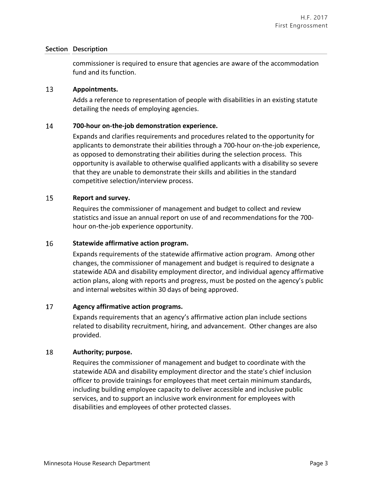# **Section Description**

commissioner is required to ensure that agencies are aware of the accommodation fund and its function.

#### 13 **Appointments.**

Adds a reference to representation of people with disabilities in an existing statute detailing the needs of employing agencies.

# 14 **700-hour on-the-job demonstration experience.**

Expands and clarifies requirements and procedures related to the opportunity for applicants to demonstrate their abilities through a 700-hour on-the-job experience, as opposed to demonstrating their abilities during the selection process. This opportunity is available to otherwise qualified applicants with a disability so severe that they are unable to demonstrate their skills and abilities in the standard competitive selection/interview process.

# 15 **Report and survey.**

Requires the commissioner of management and budget to collect and review statistics and issue an annual report on use of and recommendations for the 700 hour on-the-job experience opportunity.

# 16 **Statewide affirmative action program.**

Expands requirements of the statewide affirmative action program. Among other changes, the commissioner of management and budget is required to designate a statewide ADA and disability employment director, and individual agency affirmative action plans, along with reports and progress, must be posted on the agency's public and internal websites within 30 days of being approved.

# 17 **Agency affirmative action programs.**

Expands requirements that an agency's affirmative action plan include sections related to disability recruitment, hiring, and advancement. Other changes are also provided.

# 18 **Authority; purpose.**

Requires the commissioner of management and budget to coordinate with the statewide ADA and disability employment director and the state's chief inclusion officer to provide trainings for employees that meet certain minimum standards, including building employee capacity to deliver accessible and inclusive public services, and to support an inclusive work environment for employees with disabilities and employees of other protected classes.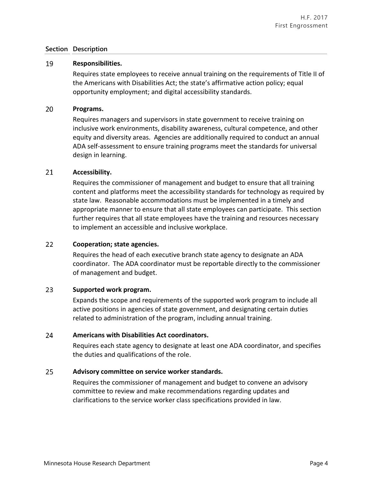# **Section Description**

# 19 **Responsibilities.**

Requires state employees to receive annual training on the requirements of Title II of the Americans with Disabilities Act; the state's affirmative action policy; equal opportunity employment; and digital accessibility standards.

#### 20 **Programs.**

Requires managers and supervisors in state government to receive training on inclusive work environments, disability awareness, cultural competence, and other equity and diversity areas. Agencies are additionally required to conduct an annual ADA self-assessment to ensure training programs meet the standards for universal design in learning.

# 21 **Accessibility.**

Requires the commissioner of management and budget to ensure that all training content and platforms meet the accessibility standards for technology as required by state law. Reasonable accommodations must be implemented in a timely and appropriate manner to ensure that all state employees can participate. This section further requires that all state employees have the training and resources necessary to implement an accessible and inclusive workplace.

# 22 **Cooperation; state agencies.**

Requires the head of each executive branch state agency to designate an ADA coordinator. The ADA coordinator must be reportable directly to the commissioner of management and budget.

# 23 **Supported work program.**

Expands the scope and requirements of the supported work program to include all active positions in agencies of state government, and designating certain duties related to administration of the program, including annual training.

# 24 **Americans with Disabilities Act coordinators.**

Requires each state agency to designate at least one ADA coordinator, and specifies the duties and qualifications of the role.

# 25 **Advisory committee on service worker standards.**

Requires the commissioner of management and budget to convene an advisory committee to review and make recommendations regarding updates and clarifications to the service worker class specifications provided in law.